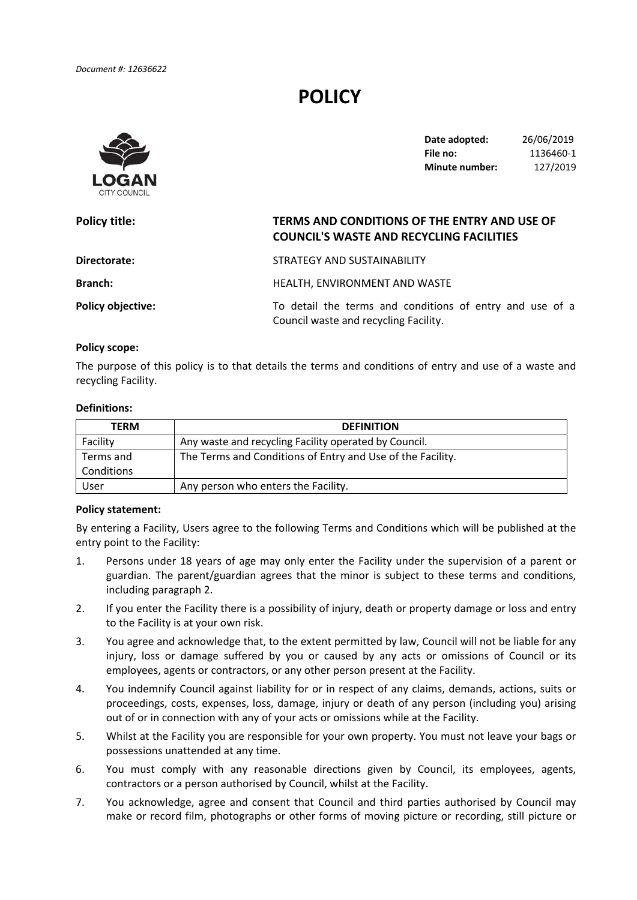# **POLICY**



 **Date adopted:** 26/06/2019 **File no:** 1136460‐1 **Minute number:** 127/2019

# **Directorate:** STRATEGY AND SUSTAINABILITY Branch: **Branch: HEALTH, ENVIRONMENT AND WASTE Policy title: TERMS AND CONDITIONS OF THE ENTRY AND USE OF COUNCIL'S WASTE AND RECYCLING FACILITIES Policy objective:** To detail the terms and conditions of entry and use of a Council waste and recycling Facility.

#### **Policy scope:**

 The purpose of this policy is to that details the terms and conditions of entry and use of a waste and recycling Facility.

#### **Definitions:**

| <b>TERM</b> | <b>DEFINITION</b>                                          |  |
|-------------|------------------------------------------------------------|--|
| Facility    | Any waste and recycling Facility operated by Council.      |  |
| Terms and   | The Terms and Conditions of Entry and Use of the Facility. |  |
| Conditions  |                                                            |  |
| User        | Any person who enters the Facility.                        |  |

### **Policy statement:**

 By entering a Facility, Users agree to the following Terms and Conditions which will be published at the entry point to the Facility:

- 1. Persons under 18 years of age may only enter the Facility under the supervision of a parent or guardian. The parent/guardian agrees that the minor is subject to these terms and conditions, including paragraph 2.
- 2. If you enter the Facility there is a possibility of injury, death or property damage or loss and entry to the Facility is at your own risk.
- 3. You agree and acknowledge that, to the extent permitted by law, Council will not be liable for any injury, loss or damage suffered by you or caused by any acts or omissions of Council or its employees, agents or contractors, or any other person present at the Facility.
- 4. You indemnify Council against liability for or in respect of any claims, demands, actions, suits or proceedings, costs, expenses, loss, damage, injury or death of any person (including you) arising out of or in connection with any of your acts or omissions while at the Facility.
- 5. Whilst at the Facility you are responsible for your own property. You must not leave your bags or possessions unattended at any time.
- 6. You must comply with any reasonable directions given by Council, its employees, agents, contractors or a person authorised by Council, whilst at the Facility.
- 7. You acknowledge, agree and consent that Council and third parties authorised by Council may make or record film, photographs or other forms of moving picture or recording, still picture or